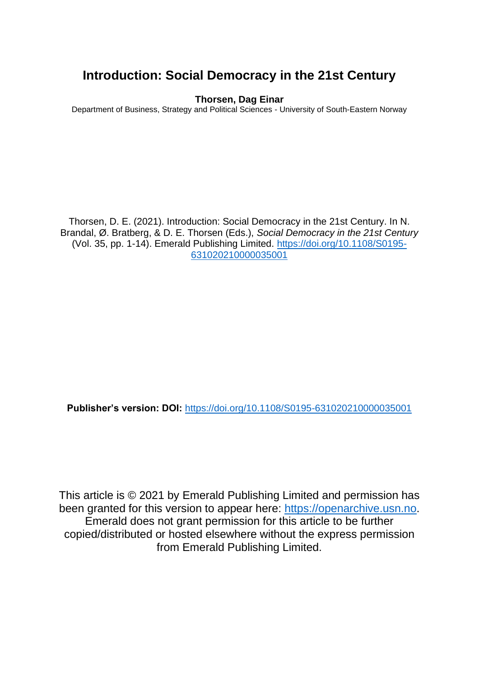## **Introduction: Social Democracy in the 21st Century**

#### **Thorsen, Dag Einar**

Department of Business, Strategy and Political Sciences - University of South-Eastern Norway

Thorsen, D. E. (2021). Introduction: Social Democracy in the 21st Century. In N. Brandal, Ø. Bratberg, & D. E. Thorsen (Eds.), *Social Democracy in the 21st Century* (Vol. 35, pp. 1-14). Emerald Publishing Limited. [https://doi.org/10.1108/S0195-](https://doi.org/10.1108/S0195-631020210000035001) [631020210000035001](https://doi.org/10.1108/S0195-631020210000035001)

**Publisher's version: DOI:** <https://doi.org/10.1108/S0195-631020210000035001>

This article is © 2021 by Emerald Publishing Limited and permission has been granted for this version to appear here: [https://openarchive.usn.no.](https://openarchive.usn.no/) Emerald does not grant permission for this article to be further copied/distributed or hosted elsewhere without the express permission from Emerald Publishing Limited.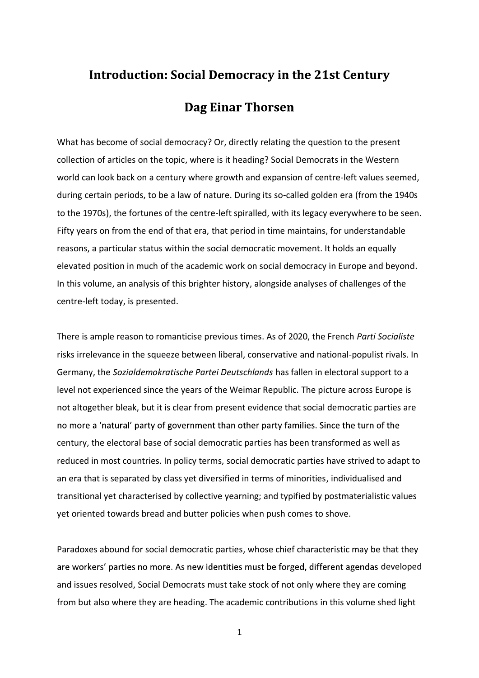# **Introduction: Social Democracy in the 21st Century Dag Einar Thorsen**

What has become of social democracy? Or, directly relating the question to the present collection of articles on the topic, where is it heading? Social Democrats in the Western world can look back on a century where growth and expansion of centre-left values seemed, during certain periods, to be a law of nature. During its so-called golden era (from the 1940s to the 1970s), the fortunes of the centre-left spiralled, with its legacy everywhere to be seen. Fifty years on from the end of that era, that period in time maintains, for understandable reasons, a particular status within the social democratic movement. It holds an equally elevated position in much of the academic work on social democracy in Europe and beyond. In this volume, an analysis of this brighter history, alongside analyses of challenges of the centre-left today, is presented.

There is ample reason to romanticise previous times. As of 2020, the French Parti Socialiste risks irrelevance in the squeeze between liberal, conservative and national-populist rivals. In Germany, the Sozialdemokratische Partei Deutschlands has fallen in electoral support to a level not experienced since the years of the Weimar Republic. The picture across Europe is not altogether bleak, but it is clear from present evidence that social democratic parties are no more a 'natural' party of government than other party families. Since the turn of the century, the electoral base of social democratic parties has been transformed as well as reduced in most countries. In policy terms, social democratic parties have strived to adapt to an era that is separated by class yet diversified in terms of minorities, individualised and transitional yet characterised by collective yearning; and typified by postmaterialistic values yet oriented towards bread and butter policies when push comes to shove.

Paradoxes abound for social democratic parties, whose chief characteristic may be that they are workers' parties no more. As new identities must be forged, different agendas developed and issues resolved, Social Democrats must take stock of not only where they are coming from but also where they are heading. The academic contributions in this volume shed light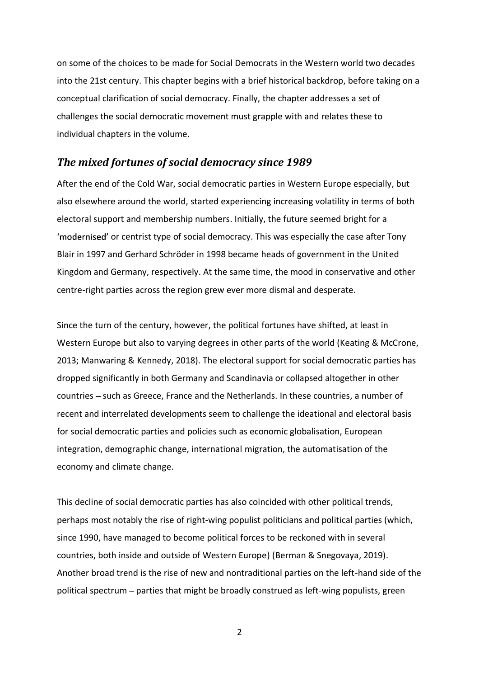on some of the choices to be made for Social Democrats in the Western world two decades into the 21st century. This chapter begins with a brief historical backdrop, before taking on a conceptual clarification of social democracy. Finally, the chapter addresses a set of challenges the social democratic movement must grapple with and relates these to individual chapters in the volume.

#### The mixed fortunes of social democracy since 1989

After the end of the Cold War, social democratic parties in Western Europe especially, but also elsewhere around the world, started experiencing increasing volatility in terms of both electoral support and membership numbers. Initially, the future seemed bright for a 'modernised' or centrist type of social democracy. This was especially the case after Tony Blair in 1997 and Gerhard Schröder in 1998 became heads of government in the United Kingdom and Germany, respectively. At the same time, the mood in conservative and other centre-right parties across the region grew ever more dismal and desperate.

Since the turn of the century, however, the political fortunes have shifted, at least in Western Europe but also to varying degrees in other parts of the world (Keating & McCrone, 2013; Manwaring & Kennedy, 2018). The electoral support for social democratic parties has dropped significantly in both Germany and Scandinavia or collapsed altogether in other countries - such as Greece, France and the Netherlands. In these countries, a number of recent and interrelated developments seem to challenge the ideational and electoral basis for social democratic parties and policies such as economic globalisation, European integration, demographic change, international migration, the automatisation of the economy and climate change.

This decline of social democratic parties has also coincided with other political trends, perhaps most notably the rise of right-wing populist politicians and political parties (which, since 1990, have managed to become political forces to be reckoned with in several countries, both inside and outside of Western Europe) (Berman & Snegovaya, 2019). Another broad trend is the rise of new and nontraditional parties on the left-hand side of the political spectrum parties that might be broadly construed as left-wing populists, green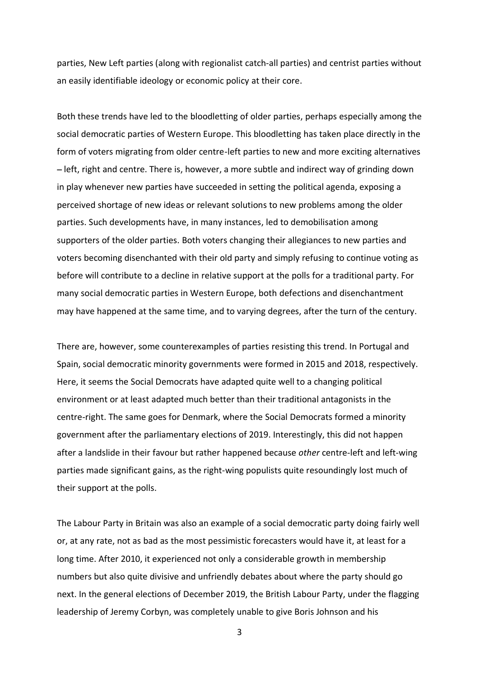parties, New Left parties (along with regionalist catch-all parties) and centrist parties without an easily identifiable ideology or economic policy at their core.

Both these trends have led to the bloodletting of older parties, perhaps especially among the social democratic parties of Western Europe. This bloodletting has taken place directly in the form of voters migrating from older centre-left parties to new and more exciting alternatives - left, right and centre. There is, however, a more subtle and indirect way of grinding down in play whenever new parties have succeeded in setting the political agenda, exposing a perceived shortage of new ideas or relevant solutions to new problems among the older parties. Such developments have, in many instances, led to demobilisation among supporters of the older parties. Both voters changing their allegiances to new parties and voters becoming disenchanted with their old party and simply refusing to continue voting as before will contribute to a decline in relative support at the polls for a traditional party. For many social democratic parties in Western Europe, both defections and disenchantment may have happened at the same time, and to varying degrees, after the turn of the century.

There are, however, some counterexamples of parties resisting this trend. In Portugal and Spain, social democratic minority governments were formed in 2015 and 2018, respectively. Here, it seems the Social Democrats have adapted quite well to a changing political environment or at least adapted much better than their traditional antagonists in the centre-right. The same goes for Denmark, where the Social Democrats formed a minority government after the parliamentary elections of 2019. Interestingly, this did not happen after a landslide in their favour but rather happened because other centre-left and left-wing parties made significant gains, as the right-wing populists quite resoundingly lost much of their support at the polls.

The Labour Party in Britain was also an example of a social democratic party doing fairly well or, at any rate, not as bad as the most pessimistic forecasters would have it, at least for a long time. After 2010, it experienced not only a considerable growth in membership numbers but also quite divisive and unfriendly debates about where the party should go next. In the general elections of December 2019, the British Labour Party, under the flagging leadership of Jeremy Corbyn, was completely unable to give Boris Johnson and his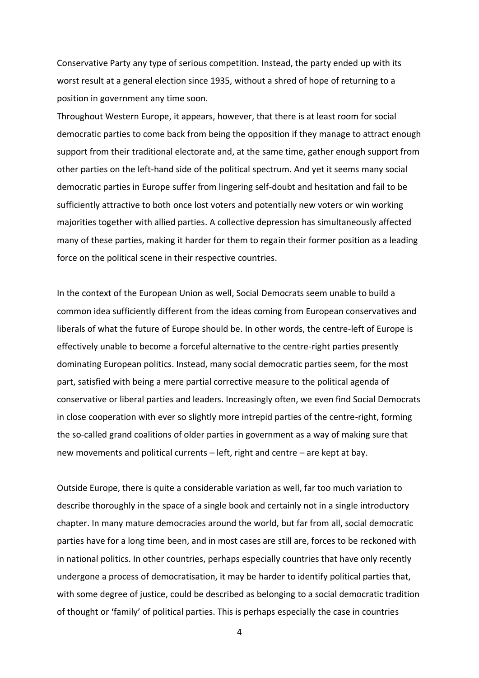Conservative Party any type of serious competition. Instead, the party ended up with its worst result at a general election since 1935, without a shred of hope of returning to a position in government any time soon.

Throughout Western Europe, it appears, however, that there is at least room for social democratic parties to come back from being the opposition if they manage to attract enough support from their traditional electorate and, at the same time, gather enough support from other parties on the left-hand side of the political spectrum. And yet it seems many social democratic parties in Europe suffer from lingering self-doubt and hesitation and fail to be sufficiently attractive to both once lost voters and potentially new voters or win working majorities together with allied parties. A collective depression has simultaneously affected many of these parties, making it harder for them to regain their former position as a leading force on the political scene in their respective countries.

In the context of the European Union as well, Social Democrats seem unable to build a common idea sufficiently different from the ideas coming from European conservatives and liberals of what the future of Europe should be. In other words, the centre-left of Europe is effectively unable to become a forceful alternative to the centre-right parties presently dominating European politics. Instead, many social democratic parties seem, for the most part, satisfied with being a mere partial corrective measure to the political agenda of conservative or liberal parties and leaders. Increasingly often, we even find Social Democrats in close cooperation with ever so slightly more intrepid parties of the centre-right, forming the so-called grand coalitions of older parties in government as a way of making sure that new movements and political currents  $-\left| \right|$  left, right and centre  $-\right|$  are kept at bay.

Outside Europe, there is quite a considerable variation as well, far too much variation to describe thoroughly in the space of a single book and certainly not in a single introductory chapter. In many mature democracies around the world, but far from all, social democratic parties have for a long time been, and in most cases are still are, forces to be reckoned with in national politics. In other countries, perhaps especially countries that have only recently undergone a process of democratisation, it may be harder to identify political parties that, with some degree of justice, could be described as belonging to a social democratic tradition of thought or family of political parties. This is perhaps especially the case in countries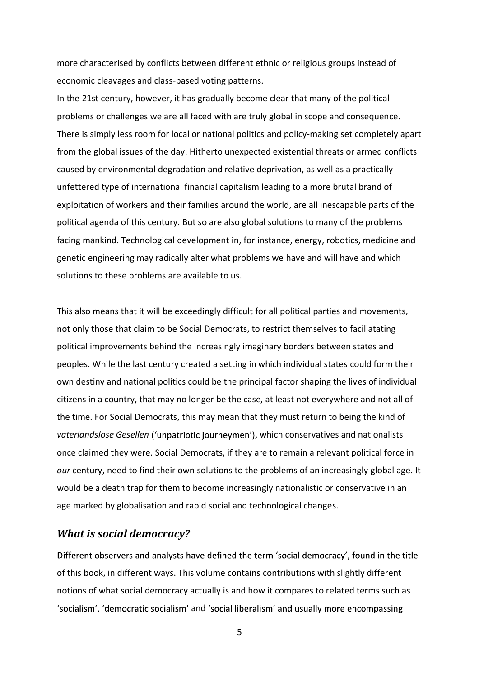more characterised by conflicts between different ethnic or religious groups instead of economic cleavages and class-based voting patterns.

In the 21st century, however, it has gradually become clear that many of the political problems or challenges we are all faced with are truly global in scope and consequence. There is simply less room for local or national politics and policy-making set completely apart from the global issues of the day. Hitherto unexpected existential threats or armed conflicts caused by environmental degradation and relative deprivation, as well as a practically unfettered type of international financial capitalism leading to a more brutal brand of exploitation of workers and their families around the world, are all inescapable parts of the political agenda of this century. But so are also global solutions to many of the problems facing mankind. Technological development in, for instance, energy, robotics, medicine and genetic engineering may radically alter what problems we have and will have and which solutions to these problems are available to us.

This also means that it will be exceedingly difficult for all political parties and movements, not only those that claim to be Social Democrats, to restrict themselves to faciliatating political improvements behind the increasingly imaginary borders between states and peoples. While the last century created a setting in which individual states could form their own destiny and national politics could be the principal factor shaping the lives of individual citizens in a country, that may no longer be the case, at least not everywhere and not all of the time. For Social Democrats, this may mean that they must return to being the kind of vaterlandslose Gesellen ('unpatriotic journeymen'), which conservatives and nationalists once claimed they were. Social Democrats, if they are to remain a relevant political force in our century, need to find their own solutions to the problems of an increasingly global age. It would be a death trap for them to become increasingly nationalistic or conservative in an age marked by globalisation and rapid social and technological changes.

## What is social democracy?

Different observers and analysts have defined the term 'social democracy', found in the title of this book, in different ways. This volume contains contributions with slightly different notions of what social democracy actually is and how it compares to related terms such as 'socialism', 'democratic socialism' and 'social liberalism' and usually more encompassing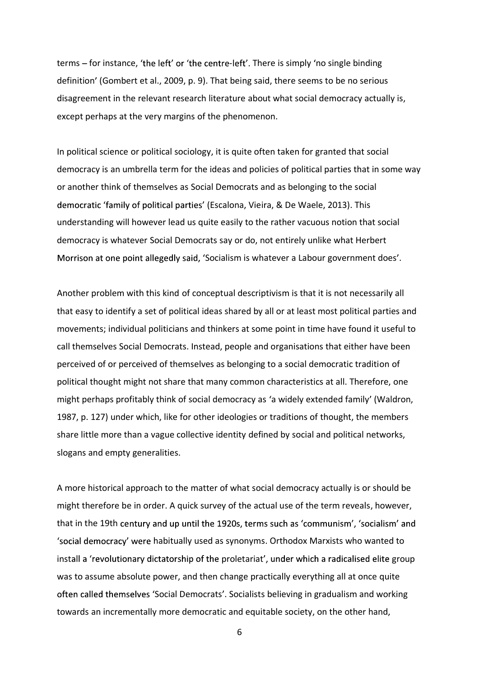terms  $-$  for instance, 'the left' or 'the centre-left'. There is simply 'no single binding definition' (Gombert et al., 2009, p. 9). That being said, there seems to be no serious disagreement in the relevant research literature about what social democracy actually is, except perhaps at the very margins of the phenomenon.

In political science or political sociology, it is quite often taken for granted that social democracy is an umbrella term for the ideas and policies of political parties that in some way or another think of themselves as Social Democrats and as belonging to the social democratic 'family of political parties' (Escalona, Vieira, & De Waele, 2013). This understanding will however lead us quite easily to the rather vacuous notion that social democracy is whatever Social Democrats say or do, not entirely unlike what Herbert Morrison at one point allegedly said, 'Socialism is whatever a Labour government does'.<br>Another problem with this kind of conceptual descriptivism is that it is not necessarily all

that easy to identify a set of political ideas shared by all or at least most political parties and movements; individual politicians and thinkers at some point in time have found it useful to call themselves Social Democrats. Instead, people and organisations that either have been perceived of or perceived of themselves as belonging to a social democratic tradition of political thought might not share that many common characteristics at all. Therefore, one might perhaps profitably think of social democracy as 'a widely extended family' (Waldron, 1987, p. 127) under which, like for other ideologies or traditions of thought, the members share little more than a vague collective identity defined by social and political networks, slogans and empty generalities.

A more historical approach to the matter of what social democracy actually is or should be might therefore be in order. A quick survey of the actual use of the term reveals, however, that in the 19th century and up until the 1920s, terms such as 'communism', 'socialism' and 'social democracy' were habitually used as synonyms. Orthodox Marxists who wanted to install a 'revolutionary dictatorship of the proletariat', under which a radicalised elite group was to assume absolute power, and then change practically everything all at once quite often called themselves 'Social Democrats'. Socialists believing in gradualism and working towards an incrementally more democratic and equitable society, on the other hand,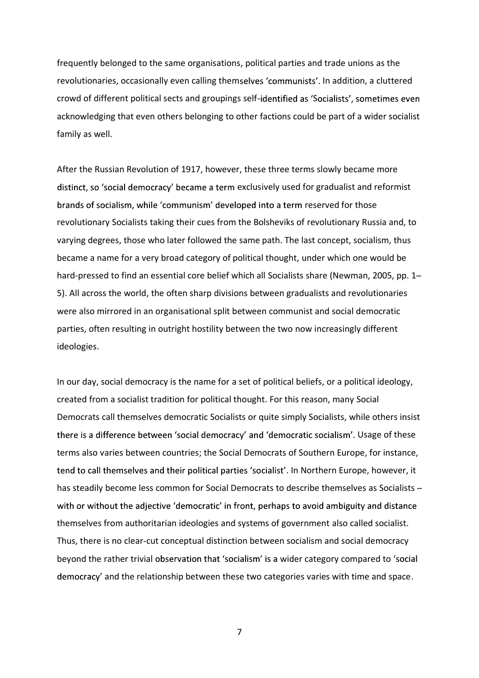frequently belonged to the same organisations, political parties and trade unions as the revolutionaries, occasionally even calling themselves 'communists'. In addition, a cluttered crowd of different political sects and groupings self-identified as 'Socialists', sometimes even acknowledging that even others belonging to other factions could be part of a wider socialist family as well.

After the Russian Revolution of 1917, however, these three terms slowly became more distinct, so 'social democracy' became a term exclusively used for gradualist and reformist brands of socialism, while 'communism' developed into a term reserved for those revolutionary Socialists taking their cues from the Bolsheviks of revolutionary Russia and, to varying degrees, those who later followed the same path. The last concept, socialism, thus became a name for a very broad category of political thought, under which one would be hard-pressed to find an essential core belief which all Socialists share (Newman, 2005, pp. 1– 5). All across the world, the often sharp divisions between gradualists and revolutionaries were also mirrored in an organisational split between communist and social democratic parties, often resulting in outright hostility between the two now increasingly different ideologies.

In our day, social democracy is the name for a set of political beliefs, or a political ideology, created from a socialist tradition for political thought. For this reason, many Social Democrats call themselves democratic Socialists or quite simply Socialists, while others insist there is a difference between 'social democracy' and 'democratic socialism'. Usage of these terms also varies between countries; the Social Democrats of Southern Europe, for instance, tend to call themselves and their political parties 'socialist'. In Northern Europe, however, it has steadily become less common for Social Democrats to describe themselves as Socialists with or without the adjective 'democratic' in front, perhaps to avoid ambiguity and distance themselves from authoritarian ideologies and systems of government also called socialist. Thus, there is no clear-cut conceptual distinction between socialism and social democracy beyond the rather trivial observation that 'socialism' is a wider category compared to 'social democracy' and the relationship between these two categories varies with time and space.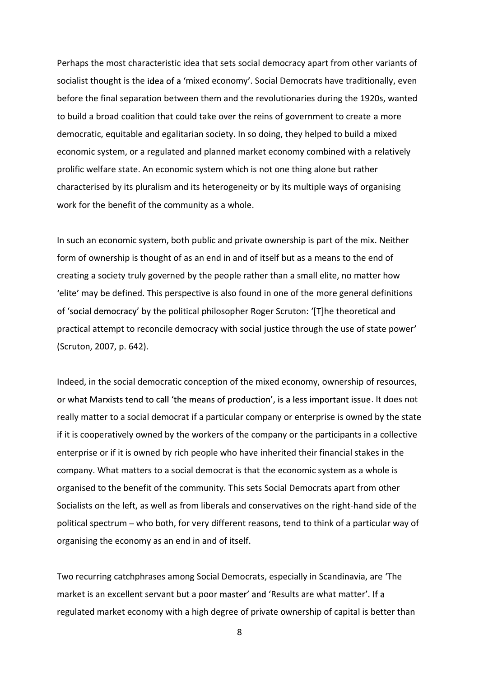Perhaps the most characteristic idea that sets social democracy apart from other variants of socialist thought is the idea of a 'mixed economy'. Social Democrats have traditionally, even before the final separation between them and the revolutionaries during the 1920s, wanted to build a broad coalition that could take over the reins of government to create a more democratic, equitable and egalitarian society. In so doing, they helped to build a mixed economic system, or a regulated and planned market economy combined with a relatively prolific welfare state. An economic system which is not one thing alone but rather characterised by its pluralism and its heterogeneity or by its multiple ways of organising work for the benefit of the community as a whole.

In such an economic system, both public and private ownership is part of the mix. Neither form of ownership is thought of as an end in and of itself but as a means to the end of creating a society truly governed by the people rather than a small elite, no matter how elite' may be defined. This perspective is also found in one of the more general definitions of 'social democracy' by the political philosopher Roger Scruton: '[T]he theoretical and practical attempt to reconcile democracy with social justice through the use of state power (Scruton, 2007, p. 642).

Indeed, in the social democratic conception of the mixed economy, ownership of resources, or what Marxists tend to call 'the means of production', is a less important issue. It does not really matter to a social democrat if a particular company or enterprise is owned by the state if it is cooperatively owned by the workers of the company or the participants in a collective enterprise or if it is owned by rich people who have inherited their financial stakes in the company. What matters to a social democrat is that the economic system as a whole is organised to the benefit of the community. This sets Social Democrats apart from other Socialists on the left, as well as from liberals and conservatives on the right-hand side of the political spectrum - who both, for very different reasons, tend to think of a particular way of organising the economy as an end in and of itself.

Two recurring catchphrases among Social Democrats, especially in Scandinavia, are The market is an excellent servant but a poor master' and 'Results are what matter'. If a regulated market economy with a high degree of private ownership of capital is better than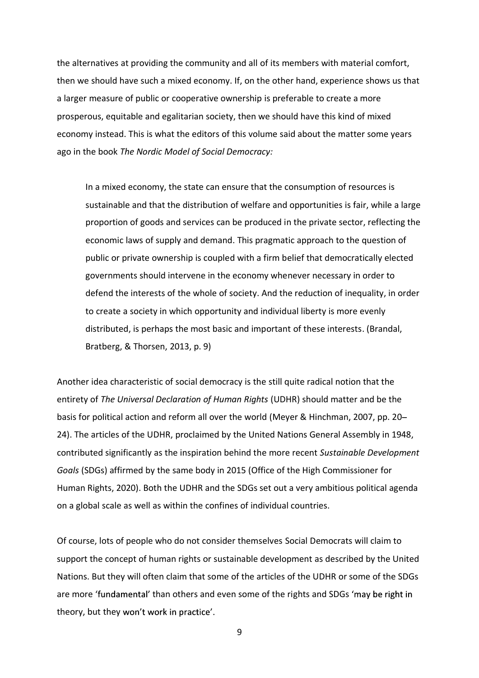the alternatives at providing the community and all of its members with material comfort, then we should have such a mixed economy. If, on the other hand, experience shows us that a larger measure of public or cooperative ownership is preferable to create a more prosperous, equitable and egalitarian society, then we should have this kind of mixed economy instead. This is what the editors of this volume said about the matter some years ago in the book The Nordic Model of Social Democracy:

In a mixed economy, the state can ensure that the consumption of resources is sustainable and that the distribution of welfare and opportunities is fair, while a large proportion of goods and services can be produced in the private sector, reflecting the economic laws of supply and demand. This pragmatic approach to the question of public or private ownership is coupled with a firm belief that democratically elected governments should intervene in the economy whenever necessary in order to defend the interests of the whole of society. And the reduction of inequality, in order to create a society in which opportunity and individual liberty is more evenly distributed, is perhaps the most basic and important of these interests. (Brandal, Bratberg, & Thorsen, 2013, p. 9)

Another idea characteristic of social democracy is the still quite radical notion that the entirety of The Universal Declaration of Human Rights (UDHR) should matter and be the basis for political action and reform all over the world (Meyer & Hinchman, 2007, pp. 20 24). The articles of the UDHR, proclaimed by the United Nations General Assembly in 1948, contributed significantly as the inspiration behind the more recent Sustainable Development Goals (SDGs) affirmed by the same body in 2015 (Office of the High Commissioner for Human Rights, 2020). Both the UDHR and the SDGs set out a very ambitious political agenda on a global scale as well as within the confines of individual countries.

Of course, lots of people who do not consider themselves Social Democrats will claim to support the concept of human rights or sustainable development as described by the United Nations. But they will often claim that some of the articles of the UDHR or some of the SDGs are more 'fundamental' than others and even some of the rights and SDGs 'may be right in theory, but they won't work in practice'.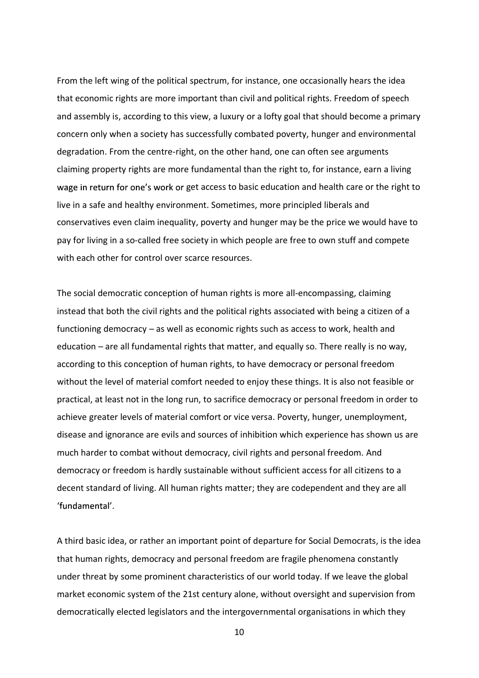From the left wing of the political spectrum, for instance, one occasionally hears the idea that economic rights are more important than civil and political rights. Freedom of speech and assembly is, according to this view, a luxury or a lofty goal that should become a primary concern only when a society has successfully combated poverty, hunger and environmental degradation. From the centre-right, on the other hand, one can often see arguments claiming property rights are more fundamental than the right to, for instance, earn a living wage in return for one's work or get access to basic education and health care or the right to live in a safe and healthy environment. Sometimes, more principled liberals and conservatives even claim inequality, poverty and hunger may be the price we would have to pay for living in a so-called free society in which people are free to own stuff and compete with each other for control over scarce resources.

The social democratic conception of human rights is more all-encompassing, claiming instead that both the civil rights and the political rights associated with being a citizen of a functioning democracy  $-$  as well as economic rights such as access to work, health and education  $-$  are all fundamental rights that matter, and equally so. There really is no way, according to this conception of human rights, to have democracy or personal freedom without the level of material comfort needed to enjoy these things. It is also not feasible or practical, at least not in the long run, to sacrifice democracy or personal freedom in order to achieve greater levels of material comfort or vice versa. Poverty, hunger, unemployment, disease and ignorance are evils and sources of inhibition which experience has shown us are much harder to combat without democracy, civil rights and personal freedom. And democracy or freedom is hardly sustainable without sufficient access for all citizens to a decent standard of living. All human rights matter; they are codependent and they are all 'fundamental'.

A third basic idea, or rather an important point of departure for Social Democrats, is the idea that human rights, democracy and personal freedom are fragile phenomena constantly under threat by some prominent characteristics of our world today. If we leave the global market economic system of the 21st century alone, without oversight and supervision from democratically elected legislators and the intergovernmental organisations in which they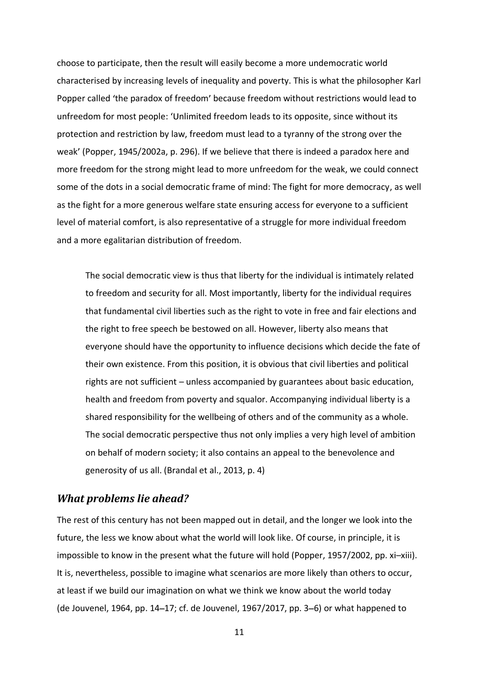choose to participate, then the result will easily become a more undemocratic world characterised by increasing levels of inequality and poverty. This is what the philosopher Karl Popper called 'the paradox of freedom' because freedom without restrictions would lead to unfreedom for most people: 'Unlimited freedom leads to its opposite, since without its protection and restriction by law, freedom must lead to a tyranny of the strong over the weak' (Popper, 1945/2002a, p. 296). If we believe that there is indeed a paradox here and more freedom for the strong might lead to more unfreedom for the weak, we could connect some of the dots in a social democratic frame of mind: The fight for more democracy, as well as the fight for a more generous welfare state ensuring access for everyone to a sufficient level of material comfort, is also representative of a struggle for more individual freedom and a more egalitarian distribution of freedom.

The social democratic view is thus that liberty for the individual is intimately related to freedom and security for all. Most importantly, liberty for the individual requires that fundamental civil liberties such as the right to vote in free and fair elections and the right to free speech be bestowed on all. However, liberty also means that everyone should have the opportunity to influence decisions which decide the fate of their own existence. From this position, it is obvious that civil liberties and political rights are not sufficient  $-\omega$  unless accompanied by guarantees about basic education, health and freedom from poverty and squalor. Accompanying individual liberty is a shared responsibility for the wellbeing of others and of the community as a whole. The social democratic perspective thus not only implies a very high level of ambition on behalf of modern society; it also contains an appeal to the benevolence and generosity of us all. (Brandal et al., 2013, p. 4)

### What problems lie ahead?

The rest of this century has not been mapped out in detail, and the longer we look into the future, the less we know about what the world will look like. Of course, in principle, it is impossible to know in the present what the future will hold (Popper, 1957/2002, pp. xi-xiii). It is, nevertheless, possible to imagine what scenarios are more likely than others to occur, at least if we build our imagination on what we think we know about the world today (de Jouvenel, 1964, pp. 14–17; cf. de Jouvenel, 1967/2017, pp. 3–6) or what happened to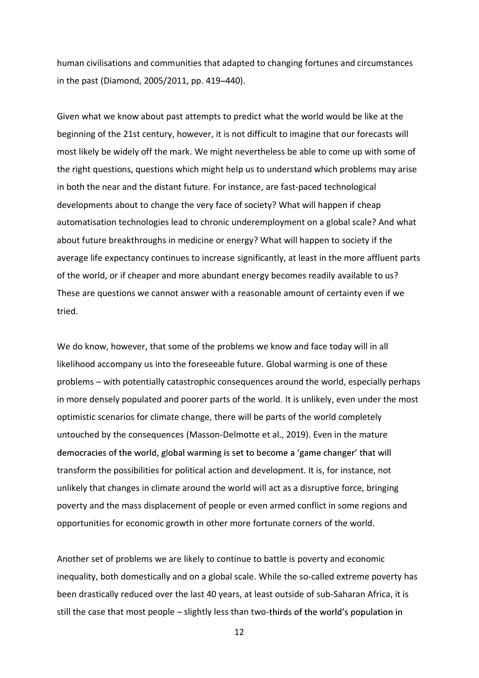human civilisations and communities that adapted to changing fortunes and circumstances in the past (Diamond, 2005/2011, pp. 419-440).

Given what we know about past attempts to predict what the world would be like at the beginning of the 21st century, however, it is not difficult to imagine that our forecasts will most likely be widely off the mark. We might nevertheless be able to come up with some of the right questions, questions which might help us to understand which problems may arise in both the near and the distant future. For instance, are fast-paced technological developments about to change the very face of society? What will happen if cheap automatisation technologies lead to chronic underemployment on a global scale? And what about future breakthroughs in medicine or energy? What will happen to society if the average life expectancy continues to increase significantly, at least in the more affluent parts of the world, or if cheaper and more abundant energy becomes readily available to us? These are questions we cannot answer with a reasonable amount of certainty even if we tried.

We do know, however, that some of the problems we know and face today will in all likelihood accompany us into the foreseeable future. Global warming is one of these problems with potentially catastrophic consequences around the world, especially perhaps in more densely populated and poorer parts of the world. It is unlikely, even under the most optimistic scenarios for climate change, there will be parts of the world completely untouched by the consequences (Masson-Delmotte et al., 2019). Even in the mature democracies of the world, global warming is set to become a 'game changer' that will transform the possibilities for political action and development. It is, for instance, not unlikely that changes in climate around the world will act as a disruptive force, bringing poverty and the mass displacement of people or even armed conflict in some regions and opportunities for economic growth in other more fortunate corners of the world.

Another set of problems we are likely to continue to battle is poverty and economic inequality, both domestically and on a global scale. While the so-called extreme poverty has been drastically reduced over the last 40 years, at least outside of sub-Saharan Africa, it is still the case that most people – slightly less than two-thirds of the world's population in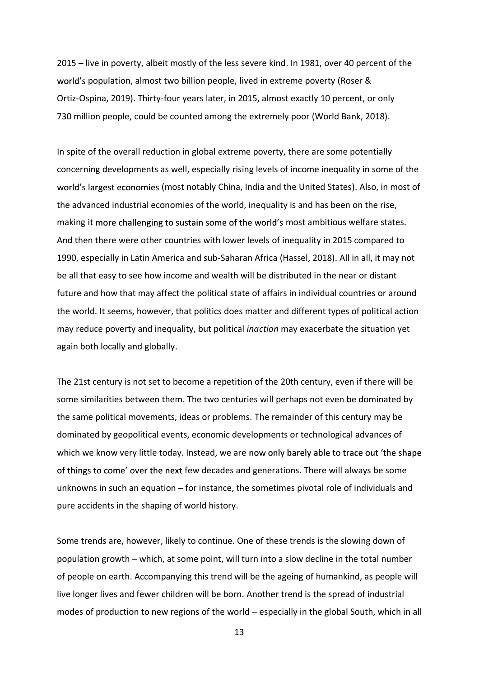2015 – live in poverty, albeit mostly of the less severe kind. In 1981, over 40 percent of the world's population, almost two billion people, lived in extreme poverty (Roser & Ortiz-Ospina, 2019). Thirty-four years later, in 2015, almost exactly 10 percent, or only 730 million people, could be counted among the extremely poor (World Bank, 2018).

In spite of the overall reduction in global extreme poverty, there are some potentially concerning developments as well, especially rising levels of income inequality in some of the world's largest economies (most notably China, India and the United States). Also, in most of the advanced industrial economies of the world, inequality is and has been on the rise, making it more challenging to sustain some of the world's most ambitious welfare states. And then there were other countries with lower levels of inequality in 2015 compared to 1990, especially in Latin America and sub-Saharan Africa (Hassel, 2018). All in all, it may not be all that easy to see how income and wealth will be distributed in the near or distant future and how that may affect the political state of affairs in individual countries or around the world. It seems, however, that politics does matter and different types of political action may reduce poverty and inequality, but political inaction may exacerbate the situation yet again both locally and globally.

The 21st century is not set to become a repetition of the 20th century, even if there will be some similarities between them. The two centuries will perhaps not even be dominated by the same political movements, ideas or problems. The remainder of this century may be dominated by geopolitical events, economic developments or technological advances of which we know very little today. Instead, we are now only barely able to trace out 'the shape of things to come' over the next few decades and generations. There will always be some unknowns in such an equation  $-$  for instance, the sometimes pivotal role of individuals and pure accidents in the shaping of world history.

Some trends are, however, likely to continue. One of these trends is the slowing down of population growth - which, at some point, will turn into a slow decline in the total number of people on earth. Accompanying this trend will be the ageing of humankind, as people will live longer lives and fewer children will be born. Another trend is the spread of industrial modes of production to new regions of the world  $-$  especially in the global South, which in all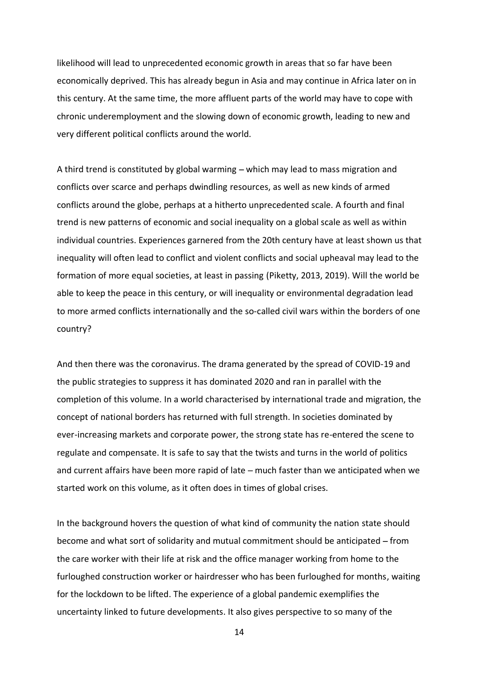likelihood will lead to unprecedented economic growth in areas that so far have been economically deprived. This has already begun in Asia and may continue in Africa later on in this century. At the same time, the more affluent parts of the world may have to cope with chronic underemployment and the slowing down of economic growth, leading to new and very different political conflicts around the world.

A third trend is constituted by global warming  $-$  which may lead to mass migration and conflicts over scarce and perhaps dwindling resources, as well as new kinds of armed conflicts around the globe, perhaps at a hitherto unprecedented scale. A fourth and final trend is new patterns of economic and social inequality on a global scale as well as within individual countries. Experiences garnered from the 20th century have at least shown us that inequality will often lead to conflict and violent conflicts and social upheaval may lead to the formation of more equal societies, at least in passing (Piketty, 2013, 2019). Will the world be able to keep the peace in this century, or will inequality or environmental degradation lead to more armed conflicts internationally and the so-called civil wars within the borders of one country?

And then there was the coronavirus. The drama generated by the spread of COVID-19 and the public strategies to suppress it has dominated 2020 and ran in parallel with the completion of this volume. In a world characterised by international trade and migration, the concept of national borders has returned with full strength. In societies dominated by ever-increasing markets and corporate power, the strong state has re-entered the scene to regulate and compensate. It is safe to say that the twists and turns in the world of politics and current affairs have been more rapid of late  $-$  much faster than we anticipated when we started work on this volume, as it often does in times of global crises.

In the background hovers the question of what kind of community the nation state should become and what sort of solidarity and mutual commitment should be anticipated  $-$  from the care worker with their life at risk and the office manager working from home to the furloughed construction worker or hairdresser who has been furloughed for months, waiting for the lockdown to be lifted. The experience of a global pandemic exemplifies the uncertainty linked to future developments. It also gives perspective to so many of the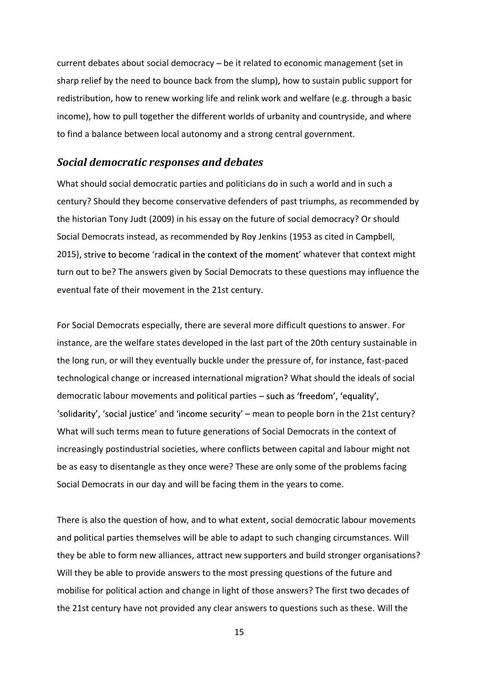current debates about social democracy  $-\overline{b}$  be it related to economic management (set in sharp relief by the need to bounce back from the slump), how to sustain public support for redistribution, how to renew working life and relink work and welfare (e.g. through a basic income), how to pull together the different worlds of urbanity and countryside, and where to find a balance between local autonomy and a strong central government.

#### Social democratic responses and debates

What should social democratic parties and politicians do in such a world and in such a century? Should they become conservative defenders of past triumphs, as recommended by the historian Tony Judt (2009) in his essay on the future of social democracy? Or should Social Democrats instead, as recommended by Roy Jenkins (1953 as cited in Campbell, 2015), strive to become 'radical in the context of the moment' whatever that context might turn out to be? The answers given by Social Democrats to these questions may influence the eventual fate of their movement in the 21st century.

For Social Democrats especially, there are several more difficult questions to answer. For instance, are the welfare states developed in the last part of the 20th century sustainable in the long run, or will they eventually buckle under the pressure of, for instance, fast-paced technological change or increased international migration? What should the ideals of social democratic labour movements and political parties - such as 'freedom', 'equality', 'solidarity', 'social justice' and 'income security'  $-$  mean to people born in the 21st century? What will such terms mean to future generations of Social Democrats in the context of increasingly postindustrial societies, where conflicts between capital and labour might not be as easy to disentangle as they once were? These are only some of the problems facing Social Democrats in our day and will be facing them in the years to come.

There is also the question of how, and to what extent, social democratic labour movements and political parties themselves will be able to adapt to such changing circumstances. Will they be able to form new alliances, attract new supporters and build stronger organisations? Will they be able to provide answers to the most pressing questions of the future and mobilise for political action and change in light of those answers? The first two decades of the 21st century have not provided any clear answers to questions such as these. Will the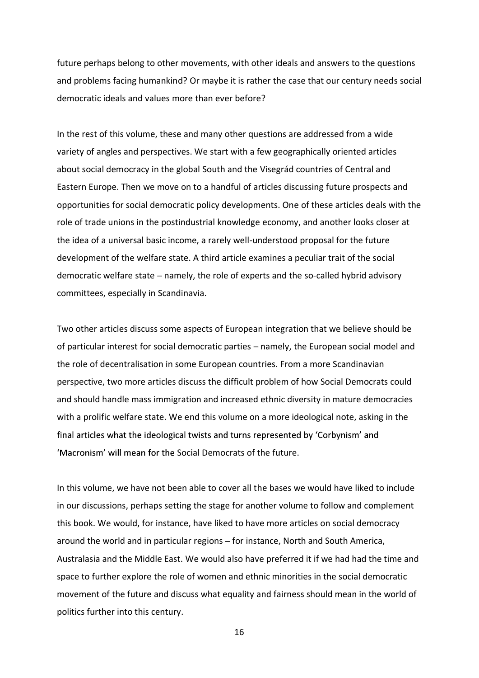future perhaps belong to other movements, with other ideals and answers to the questions and problems facing humankind? Or maybe it is rather the case that our century needs social democratic ideals and values more than ever before?

In the rest of this volume, these and many other questions are addressed from a wide variety of angles and perspectives. We start with a few geographically oriented articles about social democracy in the global South and the Visegrád countries of Central and Eastern Europe. Then we move on to a handful of articles discussing future prospects and opportunities for social democratic policy developments. One of these articles deals with the role of trade unions in the postindustrial knowledge economy, and another looks closer at the idea of a universal basic income, a rarely well-understood proposal for the future development of the welfare state. A third article examines a peculiar trait of the social democratic welfare state – namely, the role of experts and the so-called hybrid advisory committees, especially in Scandinavia.

Two other articles discuss some aspects of European integration that we believe should be of particular interest for social democratic parties – namely, the European social model and the role of decentralisation in some European countries. From a more Scandinavian perspective, two more articles discuss the difficult problem of how Social Democrats could and should handle mass immigration and increased ethnic diversity in mature democracies with a prolific welfare state. We end this volume on a more ideological note, asking in the final articles what the ideological twists and turns represented by 'Corbynism' and 'Macronism' will mean for the Social Democrats of the future.

In this volume, we have not been able to cover all the bases we would have liked to include in our discussions, perhaps setting the stage for another volume to follow and complement this book. We would, for instance, have liked to have more articles on social democracy around the world and in particular regions - for instance, North and South America, Australasia and the Middle East. We would also have preferred it if we had had the time and space to further explore the role of women and ethnic minorities in the social democratic movement of the future and discuss what equality and fairness should mean in the world of politics further into this century.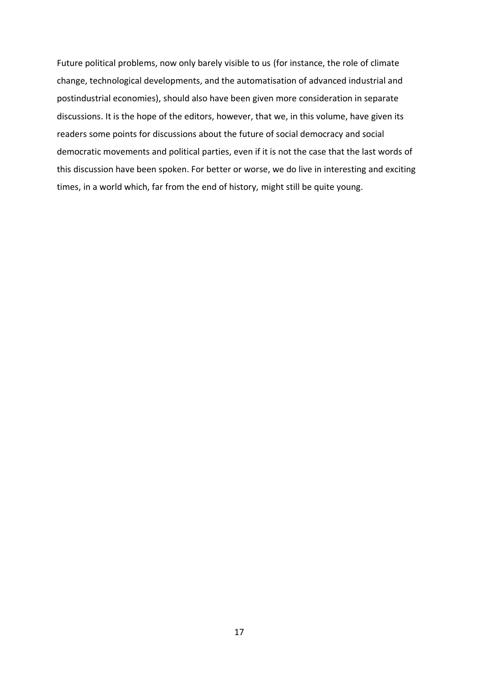Future political problems, now only barely visible to us (for instance, the role of climate change, technological developments, and the automatisation of advanced industrial and postindustrial economies), should also have been given more consideration in separate discussions. It is the hope of the editors, however, that we, in this volume, have given its readers some points for discussions about the future of social democracy and social democratic movements and political parties, even if it is not the case that the last words of this discussion have been spoken. For better or worse, we do live in interesting and exciting times, in a world which, far from the end of history, might still be quite young.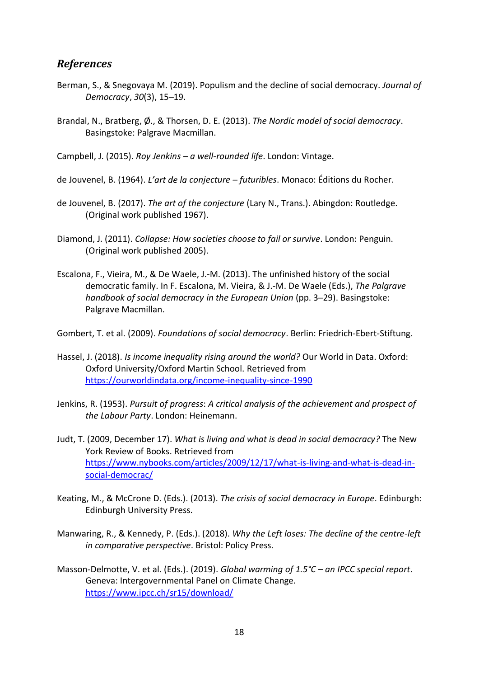## References

- Berman, S., & Snegovaya M. (2019). Populism and the decline of social democracy. Journal of Democracy, 30(3), 15-19.
- Brandal, N., Bratberg, Ø., & Thorsen, D. E. (2013). The Nordic model of social democracy.<br>Basingstoke: Palgrave Macmillan.

Campbell, J. (2015). Roy Jenkins -  $a$  well-rounded life. London: Vintage.

de Jouvenel, B. (1964). L'art de la conjecture – futuribles. Monaco: Éditions du Rocher.

- de Jouvenel, B. (2017). The art of the conjecture (Lary N., Trans.). Abingdon: Routledge. (Original work published 1967).
- Diamond, J. (2011). Collapse: How societies choose to fail or survive. London: Penguin. (Original work published 2005).
- Escalona, F., Vieira, M., & De Waele, J.-M. (2013). The unfinished history of the social democratic family. In F. Escalona, M. Vieira, & J.-M. De Waele (Eds.), The Palgrave handbook of social democracy in the European Union (pp. 3–29). Basingstoke: Palgrave Macmillan.

Gombert, T. et al. (2009). Foundations of social democracy. Berlin: Friedrich-Ebert-Stiftung.

- Hassel, J. (2018). Is income inequality rising around the world? Our World in Data. Oxford: Oxford University/Oxford Martin School. Retrieved from https://ourworldindata.org/income-inequality-since-1990
- Jenkins, R. (1953). Pursuit of progress: A critical analysis of the achievement and prospect of the Labour Party. London: Heinemann.
- Judt, T. (2009, December 17). What is living and what is dead in social democracy? The New York Review of Books. Retrieved from https://www.nybooks.com/articles/2009/12/17/what-is-living-and-what-is-dead-insocial-democrac/
- Keating, M., & McCrone D. (Eds.). (2013). The crisis of social democracy in Europe. Edinburgh: Edinburgh University Press.
- Manwaring, R., & Kennedy, P. (Eds.). (2018). Why the Left loses: The decline of the centre-left in comparative perspective. Bristol: Policy Press.
- Masson-Delmotte, V. et al. (Eds.). (2019). Global warming of  $1.5^{\circ}C$  an IPCC special report.<br>Geneva: Intergovernmental Panel on Climate Change. https://www.ipcc.ch/sr15/download/